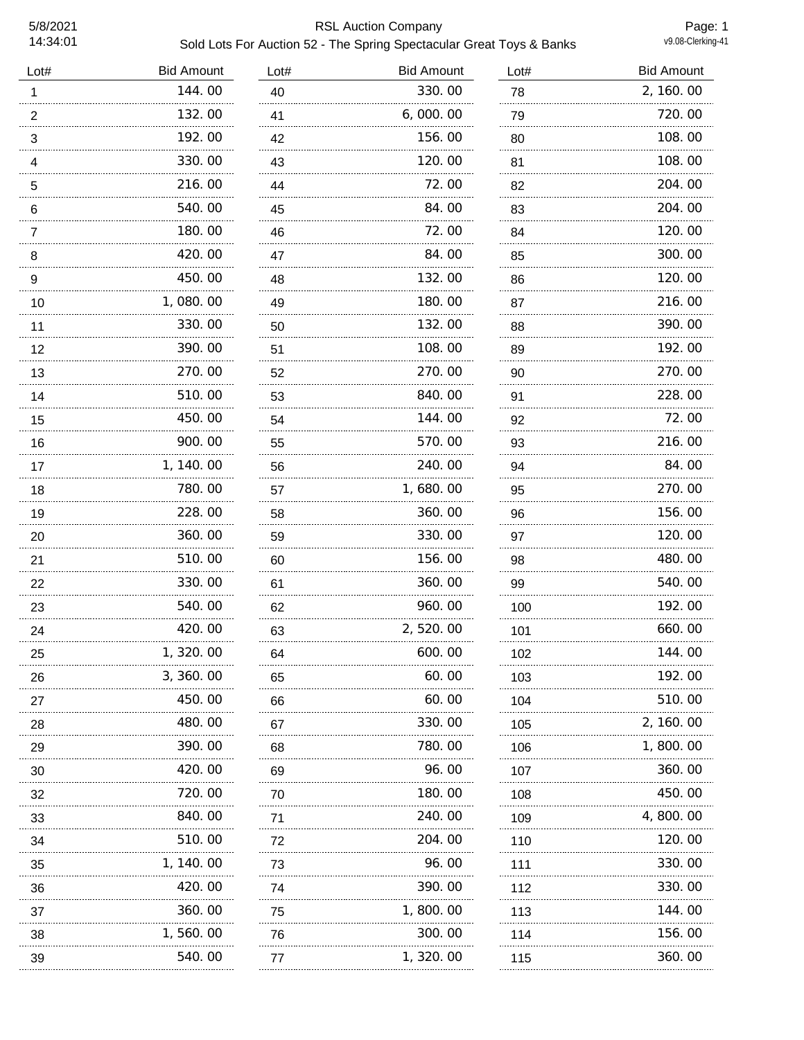## 5/8/2021 RSL Auction Company Sold Lots For Auction 52 - The Spring Spectacular Great Toys & Banks

Page: 1<br>v9.08-Clerking-41

| Lot#           | <b>Bid Amount</b> | Lot# | <b>Bid Amount</b> | Lot#    | <b>Bid Amount</b> |
|----------------|-------------------|------|-------------------|---------|-------------------|
| 1              | 144.00            | 40   | 330.00            | 78      | 2, 160.00         |
| $\overline{2}$ | 132.00            | 41   | 6,000.00          | 79      | 720.00            |
| 3              | 192.00            | 42   | 156.00            | 80<br>. | 108.00            |
| $\overline{4}$ | 330.00            | 43   | 120.00            | 81      | 108.00            |
| 5<br>.         | 216.00            | 44   | 72.00             | 82<br>. | 204.00            |
| 6              | 540.00            | 45   | 84.00             | 83      | 204.00            |
| 7              | 180.00            | 46   | 72.00             | 84      | 120.00            |
| 8              | 420.00            | 47   | 84.00             | 85      | 300.00            |
| 9              | 450.00            | 48   | 132.00            | 86      | 120.00            |
| 10             | 1,080.00          | 49   | 180.00            | 87      | 216.00            |
| 11             | 330.00            | 50   | 132.00            | 88      | 390.00            |
| 12             | 390.00            | 51   | 108.00            | 89      | 192.00            |
| 13             | 270.00            | 52   | 270.00            | 90      | 270.00            |
| 14             | 510.00<br>.       | 53   | 840.00<br>.       | 91      | 228.00            |
| 15             | 450.00            | 54   | 144.00            | 92      | 72.00             |
| 16             | 900.00            | 55   | 570.00            | 93      | 216.00            |
| 17             | 1, 140.00         | 56   | 240.00            | 94      | 84.00             |
| 18             | 780.00<br>.       | 57   | 1,680.00          | 95      | 270.00            |
| 19             | 228.00            | 58   | 360.00            | 96      | 156.00            |
| 20             | 360.00<br>.       | 59   | 330.00            | 97      | 120.00            |
| 21             | 510.00<br>.       | 60   | 156.00            | 98      | 480.00            |
| 22             | 330.00            | 61   | 360.00            | 99      | 540.00            |
| 23             | 540.00            | 62   | 960.00            | 100     | 192.00            |
| 24             | 420.00            | 63   | 2,520.00          | 101     | 660.00            |
| 25             | 320.00            | 64   | 600.00            | 102     | 144.00            |
| 26             | 3, 360. 00        | 65   | 60.00             | 103     | 192.00            |
| 27             | 450.00            | 66   | 60.00             | 104     | 510.00            |
| 28             | 480.00            | 67   | 330.00            | 105     | 2, 160.00         |
| 29             | 390.00            | 68   | 780.00            | 106     | 1,800.00          |
| 30             | 420.00            | 69   | 96.00             | 107     | 360.00            |
| 32             | 720.00            | 70   | 180.00            | 108     | 450.00            |
| 33             | 840.00            | 71   | 240.00            | 109     | 4, 800. 00        |
| 34             | 510.00            | 72   | 204.00            | 110     | 120.00            |
| 35             | 1, 140. 00        | 73   | 96.00             | 111     | 330.00            |
| 36             | 420.00            | 74   | 390.00            | 112     | 330.00            |
| 37             | 360.00            | 75   | 1,800.00          | 113     | 144.00            |
| 38             | 1, 560. 00        | 76   | 300.00            | 114     | 156.00            |
|                |                   |      |                   |         |                   |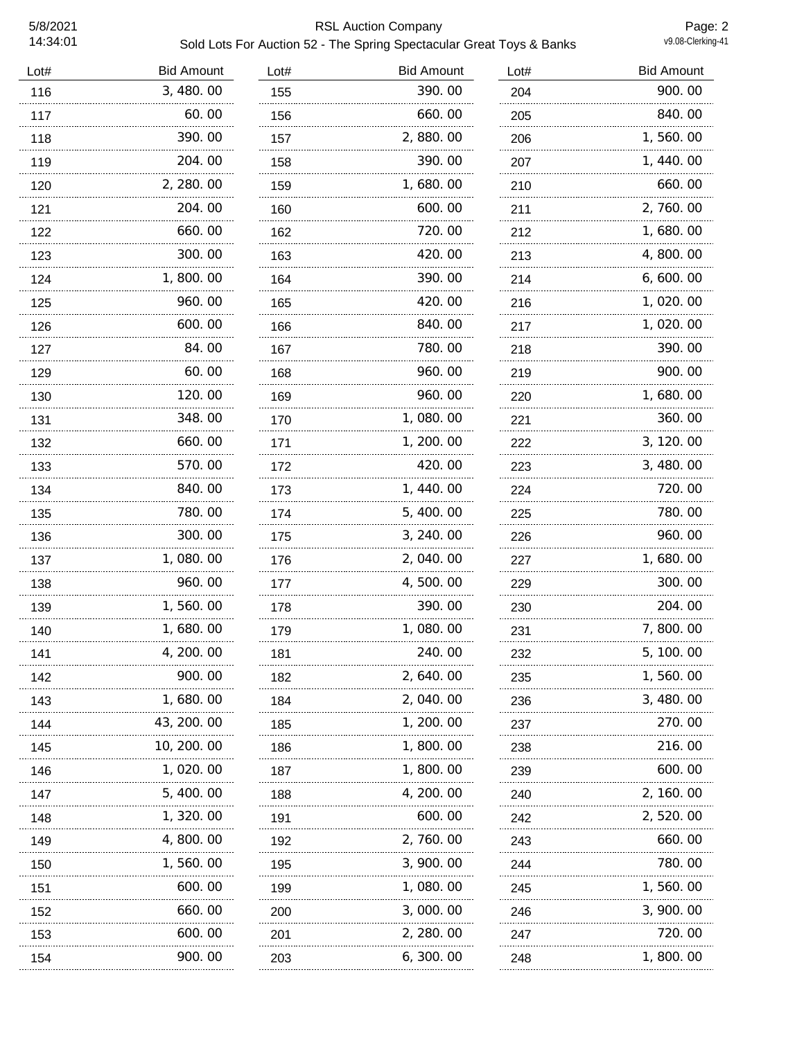## 5/8/2021 RSL Auction Company Sold Lots For Auction 52 - The Spring Spectacular Great Toys & Banks

| Lot# | <b>Bid Amount</b> | Lot# | <b>Bid Amount</b> | Lot# | <b>Bid Amount</b> |
|------|-------------------|------|-------------------|------|-------------------|
| 116  | 3, 480.00         | 155  | 390.00            | 204  | 900.00            |
| 117  | 60.00             | 156  | 660.00            | 205  | 840.00            |
| 118  | 390.00            | 157  | 2,880.00          | 206  | 1,560.00          |
| 119  | 204.00            | 158  | 390.00            | 207  | 1, 440.00         |
| 120  | 2, 280.00         | 159  | 1,680.00          | 210  | 660.00            |
| 121  | 204.00            | 160  | 600.00            | 211  | 2,760.00          |
| 122  | 660.00            | 162  | 720.00            | 212  | 1,680.00          |
| 123  | 300.00            | 163  | 420.00            | 213  | 4,800.00          |
| 124  | 1,800.00          | 164  | 390.00            | 214  | 6, 600. 00        |
| 125  | 960.00            | 165  | 420.00            | 216  | 1, 020. 00        |
| 126  | 600.00            | 166  | 840.00            | 217  | 1,020.00          |
| 127  | 84.00             | 167  | 780.00            | 218  | 390.00            |
| 129  | 60.00             | 168  | 960.00            | 219  | 900.00            |
| 130  | 120.00            | 169  | 960.00            | 220  | 1,680.00          |
| 131  | 348.00            | 170  | 1,080.00          | 221  | 360.00            |
| 132  | 660.00            | 171  | 1, 200. 00        | 222  | 3, 120.00         |
| 133  | 570.00            | 172  | 420.00            | 223  | 3, 480.00         |
| 134  | 840.00            | 173  | 1, 440.00         | 224  | 720.00            |
| 135  | 780.00            | 174  | 5, 400.00         | 225  | 780.00            |
| 136  | 300.00            | 175  | 3, 240.00         | 226  | 960.00            |
| 137  | 1,080.00          | 176  | 2, 040.00         | 227  | 1,680.00          |
| 138  | 960.00            | 177  | 4,500.00          | 229  | 300.00            |
| 139  | 1, 560. 00        | 178  | 390.00            | 230  | 204.00            |
| 140  | 1, 680. 00        | 179  | 1,080.00          | 231  | 7,800.00          |
| 141  | 4, 200. 00        | 181  | 240.00            | 232  | 5, 100. 00        |
| 142  | 900.00            | 182  | 2, 640.00         | 235  | 1, 560. 00        |
| 143  | 1, 680. 00        | 184  | 2, 040. 00        | 236  | 3, 480.00         |
| 144  | 43, 200. 00       | 185  | 1, 200. 00        | 237  | 270.00            |
| 145  | 10, 200, 00       | 186  | 1, 800. 00        | 238  | 216.00            |
| 146  | 1, 020. 00        | 187  | 1,800.00          | 239  | 600.00            |
| 147  | 5, 400. 00        | 188  | 4, 200. 00        | 240  | 2, 160. 00        |
| 148  | 1, 320. 00        | 191  | 600.00            | 242  | 2, 520.00         |
| 149  | 4,800.00          | 192  | 2, 760. 00        | 243  | 660.00            |
| 150  | 1, 560. 00        | 195  | 3, 900. 00        | 244  | 780.00            |
| 151  | 600.00            | 199  | 1,080.00          | 245  | 1, 560. 00        |
| 152  | 660.00            | 200  | 3,000.00          | 246  | 3, 900. 00        |
| 153  | 600.00            | 201  | 2, 280.00         | 247  | 720.00            |
| 154  | 900.00            | 203  | 6, 300.00         | 248  | 1,800.00          |
|      |                   |      |                   |      |                   |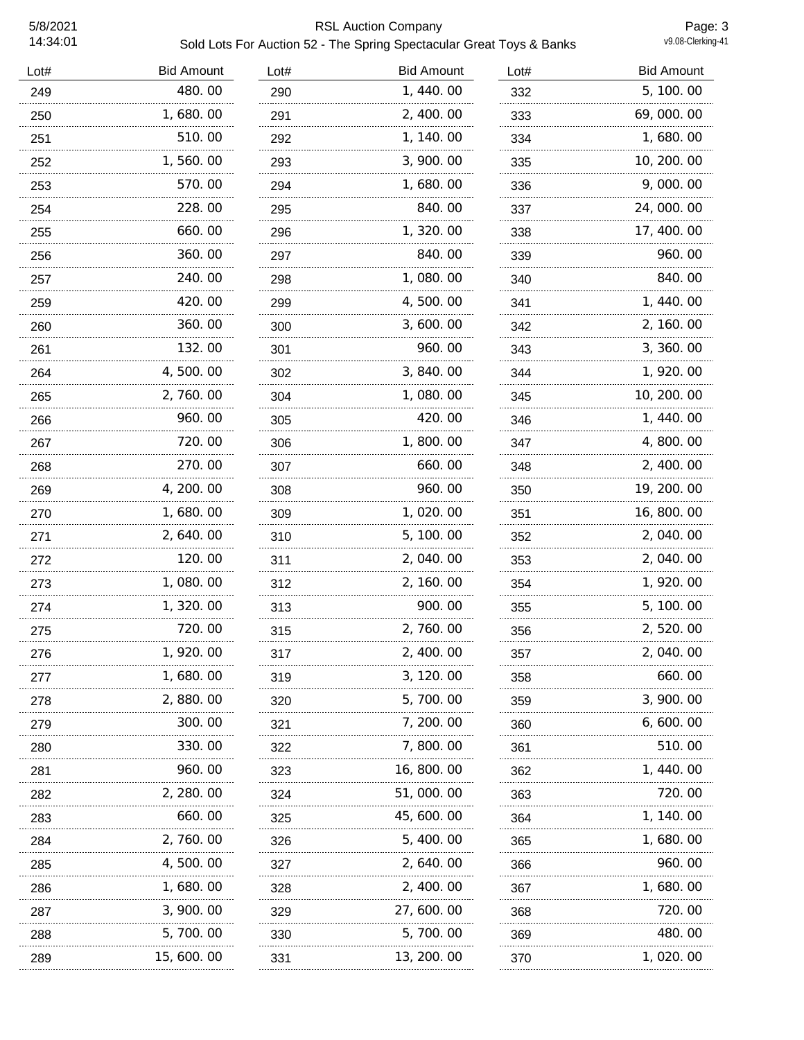## 5/8/2021 RSL Auction Company Sold Lots For Auction 52 - The Spring Spectacular Great Toys & Banks

Page: 3<br>v9.08-Clerking-41

| Lot# | <b>Bid Amount</b> | Lot# | <b>Bid Amount</b> | Lot# | <b>Bid Amount</b> |
|------|-------------------|------|-------------------|------|-------------------|
| 249  | 480.00            | 290  | 1,440.00          | 332  | 5, 100.00         |
| 250  | 1,680.00          | 291  | 2, 400.00         | 333  | 69,000.00         |
| 251  | 510.00            | 292  | 1, 140.00         | 334  | 1,680.00          |
| 252  | 1,560.00          | 293  | 3, 900. 00        | 335  | 10, 200. 00       |
| 253  | 570.00            | 294  | 1,680.00          | 336  | 9,000.00          |
| 254  | 228.00            | 295  | 840.00            | 337  | 24, 000. 00       |
| 255  | 660.00            | 296  | 1,320.00          | 338  | 17, 400.00        |
| 256  | 360.00            | 297  | 840.00            | 339  | 960.00            |
| 257  | 240.00            | 298  | 1,080.00          | 340  | 840.00            |
| 259  | 420.00            | 299  | 4,500.00          | 341  | 1, 440.00         |
| 260  | 360.00            | 300  | 3,600.00          | 342  | 2, 160. 00        |
| 261  | 132.00            | 301  | 960.00            | 343  | 3, 360. 00        |
| 264  | 4,500.00          | 302  | 3, 840.00         | 344  | 1, 920.00         |
| 265  | 2, 760.00         | 304  | 1,080.00          | 345  | 10, 200. 00       |
| 266  | 960.00            | 305  | 420.00            | 346  | 1, 440.00         |
| 267  | 720.00            | 306  | 1,800.00          | 347  | 4,800.00          |
| 268  | 270.00            | 307  | 660.00            | 348  | 2, 400.00         |
| 269  | 4, 200. 00        | 308  | 960.00            | 350  | 19, 200. 00       |
| 270  | 1,680.00          | 309  | 1,020.00          | 351  | 16, 800. 00       |
| 271  | 2, 640.00         | 310  | 5, 100. 00        | 352  | 2, 040.00         |
| 272  | 120.00            | 311  | 2,040.00          | 353  | 2, 040. 00        |
| 273  | 1,080.00          | 312  | 2, 160.00         | 354  | 1, 920. 00        |
| 274  | 1,320.00          | 313  | 900.00            | 355  | 5, 100. 00        |
| 275  | 720.00            | 315  | 2,760.00          | 356  | 2, 520.00         |
| 276  | I , 920. OO       | 317  | 2, 400. OO        | 357  | 2, 040. 00        |
| 277  | 1,680.00          | 319  | 3, 120.00         | 358  | 660.00            |
| 278  | 2, 880. 00        | 320  | 5,700.00          | 359  | 3, 900. 00        |
| 279  | 300.00            | 321  | 7, 200. 00        | 360  | 6,600.00          |
| 280  | 330.00            | 322  | 7,800.00          | 361  | 510.00            |
| 281  | 960. 00           | 323  | 16, 800. 00       | 362  | 1, 440. 00        |
| 282  | 2, 280.00         | 324  | 51,000.00         | 363  | 720.00            |
| 283  | 660.00            | 325  | 45, 600. 00       | 364  | 1, 140. 00        |
| 284  | 2, 760. 00        | 326  | 5, 400.00         | 365  | 1,680.00          |
| 285  | 4, 500. 00        | 327  | 2, 640. 00        | 366  | 960.00            |
| 286  | 1, 680. 00        | 328  | 2, 400.00         | 367  | 1,680.00          |
| 287  | 3, 900. 00        | 329  | 27, 600. 00       | 368  | 720.00            |
| 288  | 5,700.00          | 330  | 5,700.00          | 369  | 480.00            |
| 289  | 15, 600. 00       | 331  | 13, 200. 00       | 370  | 1, 020. 00        |